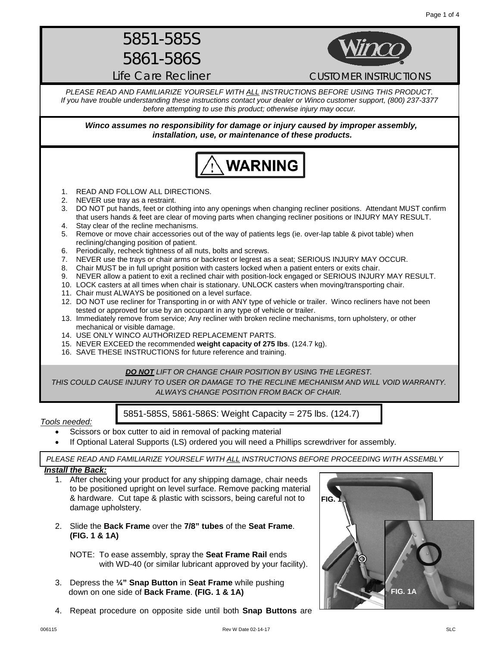5851-585S 5861-586S

Life Care Recliner **CUSTOMER INSTRUCTIONS** 

*PLEASE READ AND FAMILIARIZE YOURSELF WITH ALL INSTRUCTIONS BEFORE USING THIS PRODUCT. If you have trouble understanding these instructions contact your dealer or Winco customer support, (800) 237-3377 before attempting to use this product; otherwise injury may occur.* 

*Winco assumes no responsibility for damage or injury caused by improper assembly, installation, use, or maintenance of these products.*



- 1. READ AND FOLLOW ALL DIRECTIONS.
- 2. NEVER use tray as a restraint.
- 3. DO NOT put hands, feet or clothing into any openings when changing recliner positions. Attendant MUST confirm that users hands & feet are clear of moving parts when changing recliner positions or INJURY MAY RESULT. 4. Stay clear of the recline mechanisms.
- 5. Remove or move chair accessories out of the way of patients legs (ie. over-lap table & pivot table) when reclining/changing position of patient.
- 6. Periodically, recheck tightness of all nuts, bolts and screws.
- 7. NEVER use the trays or chair arms or backrest or legrest as a seat; SERIOUS INJURY MAY OCCUR.<br>8. Chair MUST be in full upright position with casters locked when a patient enters or exits chair.
- 8. Chair MUST be in full upright position with casters locked when a patient enters or exits chair.<br>9. NEVER allow a patient to exit a reclined chair with position-lock engaged or SERIOUS INJUR'
- NEVER allow a patient to exit a reclined chair with position-lock engaged or SERIOUS INJURY MAY RESULT.
- 10. LOCK casters at all times when chair is stationary. UNLOCK casters when moving/transporting chair.
- 11. Chair must ALWAYS be positioned on a level surface.
- 12. DO NOT use recliner for Transporting in or with ANY type of vehicle or trailer. Winco recliners have not been tested or approved for use by an occupant in any type of vehicle or trailer.
- 13. Immediately remove from service; Any recliner with broken recline mechanisms, torn upholstery, or other mechanical or visible damage.
- 14. USE ONLY WINCO AUTHORIZED REPLACEMENT PARTS.
- 15. NEVER EXCEED the recommended **weight capacity of 275 lbs**. (124.7 kg).
- 16. SAVE THESE INSTRUCTIONS for future reference and training.

### *DO NOT LIFT OR CHANGE CHAIR POSITION BY USING THE LEGREST.*

*THIS COULD CAUSE INJURY TO USER OR DAMAGE TO THE RECLINE MECHANISM AND WILL VOID WARRANTY. ALWAYS CHANGE POSITION FROM BACK OF CHAIR.*

### *Tools needed:*

- Scissors or box cutter to aid in removal of packing material
- If Optional Lateral Supports (LS) ordered you will need a Phillips screwdriver for assembly.

*PLEASE READ AND FAMILIARIZE YOURSELF WITH ALL INSTRUCTIONS BEFORE PROCEEDING WITH ASSEMBLY*

5851-585S, 5861-586S: Weight Capacity = 275 lbs. (124.7)

### *Install the Back:*

- 1. After checking your product for any shipping damage, chair needs to be positioned upright on level surface. Remove packing material & hardware. Cut tape & plastic with scissors, being careful not to damage upholstery.
- 2. Slide the **Back Frame** over the **7/8" tubes** of the **Seat Frame**. **(FIG. 1 & 1A)**
	- NOTE: To ease assembly, spray the **Seat Frame Rail** ends with WD-40 (or similar lubricant approved by your facility).
- 3. Depress the **¼" Snap Button** in **Seat Frame** while pushing down on one side of **Back Frame**. **(FIG. 1 & 1A)**
- 4. Repeat procedure on opposite side until both **Snap Buttons** are

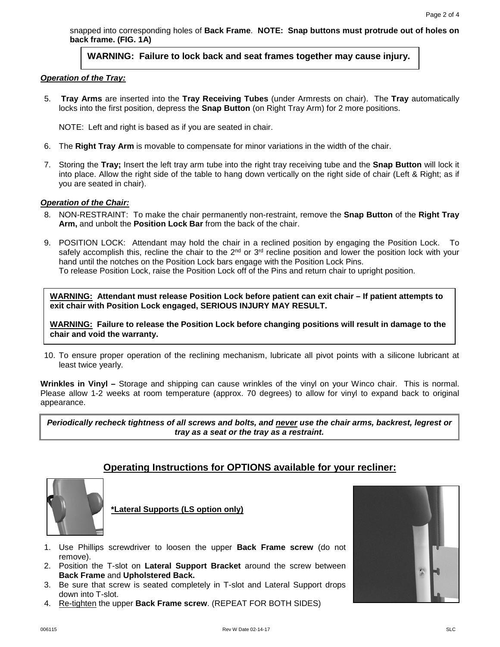snapped into corresponding holes of **Back Frame**. **NOTE: Snap buttons must protrude out of holes on back frame. (FIG. 1A)**

## **WARNING: Failure to lock back and seat frames together may cause injury.**

#### *Operation of the Tray:*

5. **Tray Arms** are inserted into the **Tray Receiving Tubes** (under Armrests on chair). The **Tray** automatically locks into the first position, depress the **Snap Button** (on Right Tray Arm) for 2 more positions.

NOTE: Left and right is based as if you are seated in chair.

- 6. The **Right Tray Arm** is movable to compensate for minor variations in the width of the chair.
- 7. Storing the **Tray;** Insert the left tray arm tube into the right tray receiving tube and the **Snap Button** will lock it into place. Allow the right side of the table to hang down vertically on the right side of chair (Left & Right; as if you are seated in chair).

### *Operation of the Chair:*

- 8. NON-RESTRAINT: To make the chair permanently non-restraint, remove the **Snap Button** of the **Right Tray Arm,** and unbolt the **Position Lock Bar** from the back of the chair.
- 9. POSITION LOCK: Attendant may hold the chair in a reclined position by engaging the Position Lock. To safely accomplish this, recline the chair to the 2<sup>nd</sup> or 3<sup>rd</sup> recline position and lower the position lock with your hand until the notches on the Position Lock bars engage with the Position Lock Pins. To release Position Lock, raise the Position Lock off of the Pins and return chair to upright position.

**WARNING: Attendant must release Position Lock before patient can exit chair – If patient attempts to exit chair with Position Lock engaged, SERIOUS INJURY MAY RESULT.**

**WARNING: Failure to release the Position Lock before changing positions will result in damage to the chair and void the warranty.**

10. To ensure proper operation of the reclining mechanism, lubricate all pivot points with a silicone lubricant at least twice yearly.

**Wrinkles in Vinyl –** Storage and shipping can cause wrinkles of the vinyl on your Winco chair. This is normal. Please allow 1-2 weeks at room temperature (approx. 70 degrees) to allow for vinyl to expand back to original appearance.

*Periodically recheck tightness of all screws and bolts, and never use the chair arms, backrest, legrest or tray as a seat or the tray as a restraint.*

# **Operating Instructions for OPTIONS available for your recliner:**



**\*Lateral Supports (LS option only)**

- 1. Use Phillips screwdriver to loosen the upper **Back Frame screw** (do not remove).
- 2. Position the T-slot on **Lateral Support Bracket** around the screw between **Back Frame** and **Upholstered Back.**
- 3. Be sure that screw is seated completely in T-slot and Lateral Support drops down into T-slot.
- 4. Re-tighten the upper **Back Frame screw**. (REPEAT FOR BOTH SIDES)

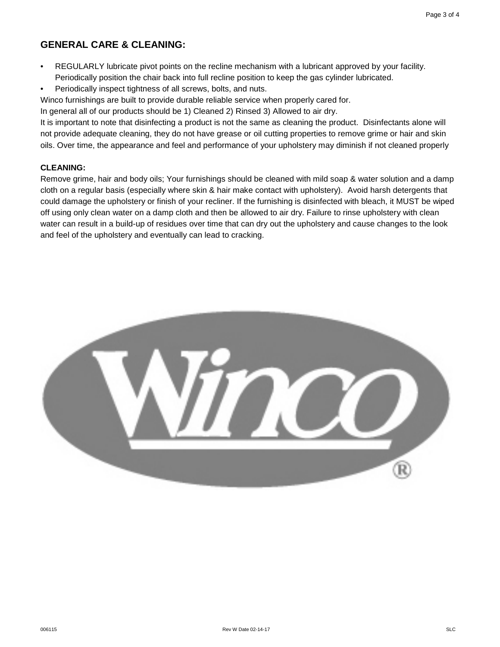# **GENERAL CARE & CLEANING:**

- REGULARLY lubricate pivot points on the recline mechanism with a lubricant approved by your facility. Periodically position the chair back into full recline position to keep the gas cylinder lubricated.
- Periodically inspect tightness of all screws, bolts, and nuts.

Winco furnishings are built to provide durable reliable service when properly cared for.

In general all of our products should be 1) Cleaned 2) Rinsed 3) Allowed to air dry.

It is important to note that disinfecting a product is not the same as cleaning the product. Disinfectants alone will not provide adequate cleaning, they do not have grease or oil cutting properties to remove grime or hair and skin oils. Over time, the appearance and feel and performance of your upholstery may diminish if not cleaned properly

### **CLEANING:**

Remove grime, hair and body oils; Your furnishings should be cleaned with mild soap & water solution and a damp cloth on a regular basis (especially where skin & hair make contact with upholstery). Avoid harsh detergents that could damage the upholstery or finish of your recliner. If the furnishing is disinfected with bleach, it MUST be wiped off using only clean water on a damp cloth and then be allowed to air dry. Failure to rinse upholstery with clean water can result in a build-up of residues over time that can dry out the upholstery and cause changes to the look and feel of the upholstery and eventually can lead to cracking.